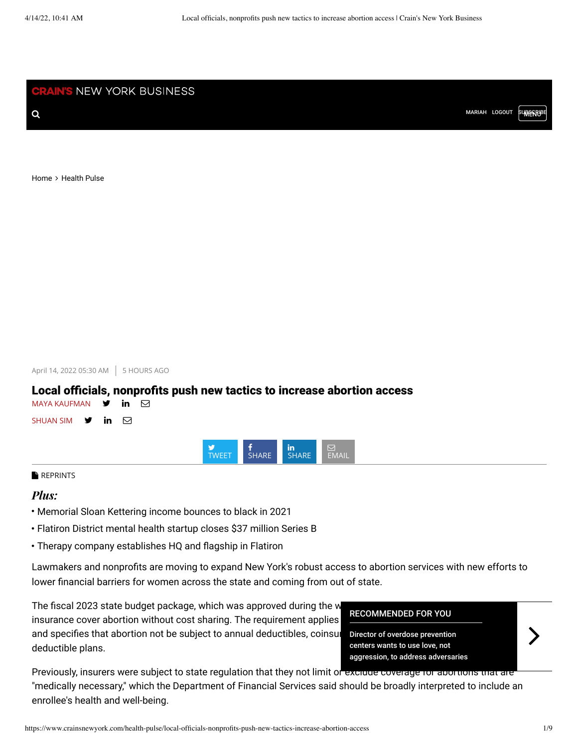**CRAIN'S** NEW YORK BUSINESS

**Q** [MARIAH](https://home.crainsnewyork.com/clickshare/myhome.do) [LOGOUT](https://home.crainsnewyork.com/clickshare/logout.do?CSResumeURL=/clickshare/logout.do%3FCSAuthReq%3D1%26CSTargetURL%3Dhttp%3A//www.crainsnewyork.com) SUBSERUPE

[Home](https://www.crainsnewyork.com/) > [Health Pulse](https://www.crainsnewyork.com/health-pulse-0)

April 14, 2022 05:30 AM 5 HOURS AGO

# Local officials, nonprofits push new tactics to increase abortion access



**[REPRINTS](https://www.crainsnewyork.com/node/59076)** 

## *Plus:*

- Memorial Sloan Kettering income bounces to black in 2021
- Flatiron District mental health startup closes \$37 million Series B
- Therapy company establishes HQ and flagship in Flatiron

Lawmakers and nonprofits are moving to expand New York's robust access to abortion services with new efforts to lower financial barriers for women across the state and coming from out of state.

The fiscal 2023 state budget package, which was approved during the w insurance cover abortion without cost sharing. The requirement applies and specifies that abortion not be subject to annual deductibles, coinsur deductible plans.

### [RECOMMENDED FOR YOU](https://www.crainsnewyork.com/health-pulse/director-overdose-prevention-centers-wants-use-love-not-aggression-address-adversaries)

Director of overdose prevention centers wants to use love, not aggression, to address adversaries

Previously, insurers were subject to state regulation that they not limit or exclude coverage for abortions that are "medically necessary," which the Department of Financial Services said should be broadly interpreted to include an enrollee's health and well-being.

 $\left\langle \right\rangle$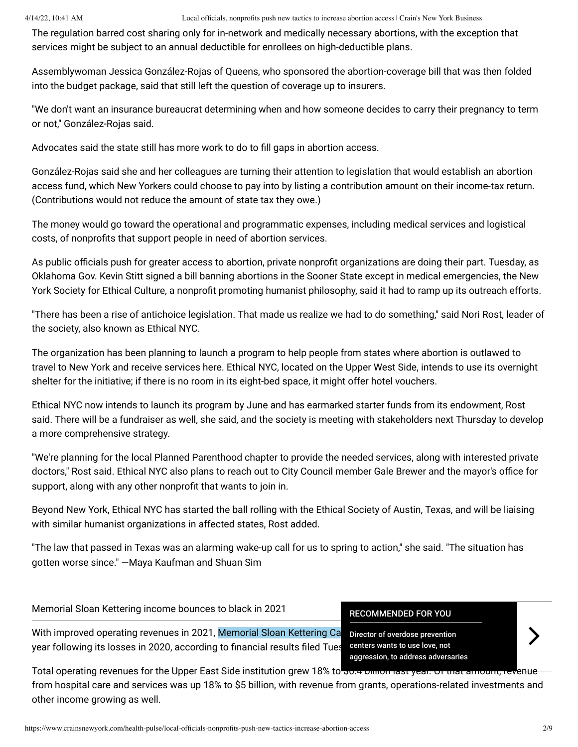The regulation barred cost sharing only for in-network and medically necessary abortions, with the exception that services might be subject to an annual deductible for enrollees on high-deductible plans.

Assemblywoman Jessica González-Rojas of Queens, who sponsored the abortion-coverage bill that was then folded into the budget package, said that still left the question of coverage up to insurers.

"We don't want an insurance bureaucrat determining when and how someone decides to carry their pregnancy to term or not," González-Rojas said.

Advocates said the state still has more work to do to fill gaps in abortion access.

González-Rojas said she and her colleagues are turning their attention to legislation that would establish an abortion access fund, which New Yorkers could choose to pay into by listing a contribution amount on their income-tax return. (Contributions would not reduce the amount of state tax they owe.)

The money would go toward the operational and programmatic expenses, including medical services and logistical costs, of nonprofits that support people in need of abortion services.

As public officials push for greater access to abortion, private nonprofit organizations are doing their part. Tuesday, as Oklahoma Gov. Kevin Stitt signed a bill banning abortions in the Sooner State except in medical emergencies, the New York Society for Ethical Culture, a nonprofit promoting humanist philosophy, said it had to ramp up its outreach efforts.

"There has been a rise of antichoice legislation. That made us realize we had to do something," said Nori Rost, leader of the society, also known as Ethical NYC.

The organization has been planning to launch a program to help people from states where abortion is outlawed to travel to New York and receive services here. Ethical NYC, located on the Upper West Side, intends to use its overnight shelter for the initiative; if there is no room in its eight-bed space, it might offer hotel vouchers.

Ethical NYC now intends to launch its program by June and has earmarked starter funds from its endowment, Rost said. There will be a fundraiser as well, she said, and the society is meeting with stakeholders next Thursday to develop a more comprehensive strategy.

"We're planning for the local Planned Parenthood chapter to provide the needed services, along with interested private doctors," Rost said. Ethical NYC also plans to reach out to City Council member Gale Brewer and the mayor's office for support, along with any other nonprofit that wants to join in.

Beyond New York, Ethical NYC has started the ball rolling with the Ethical Society of Austin, Texas, and will be liaising with similar humanist organizations in affected states, Rost added.

"The law that passed in Texas was an alarming wake-up call for us to spring to action," she said. "The situation has gotten worse since." —Maya Kaufman and Shuan Sim

# Memorial Sloan Kettering income bounces to black in 2021

With improved operating revenues in 2021, Memorial Sloan Kettering Ca year following its losses in 2020, according to financial results filed Tues

[RECOMMENDED FOR YOU](https://www.crainsnewyork.com/health-pulse/director-overdose-prevention-centers-wants-use-love-not-aggression-address-adversaries)

Director of overdose prevention centers wants to use love, not aggression, to address adversaries

Total operating revenues for the Upper East Side institution grew 18% to ... <del>ומתחמות ומשלים על המוחל השלים ומ</del> from hospital care and services was up 18% to \$5 billion, with revenue from grants, operations-related investments and other income growing as well.

 $\left\langle \right\rangle$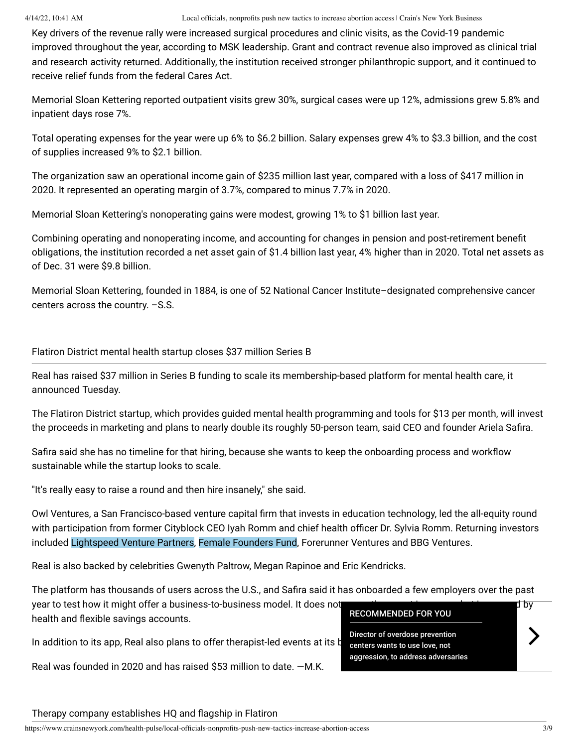Key drivers of the revenue rally were increased surgical procedures and clinic visits, as the Covid-19 pandemic improved throughout the year, according to MSK leadership. Grant and contract revenue also improved as clinical trial and research activity returned. Additionally, the institution received stronger philanthropic support, and it continued to receive relief funds from the federal Cares Act.

Memorial Sloan Kettering reported outpatient visits grew 30%, surgical cases were up 12%, admissions grew 5.8% and inpatient days rose 7%.

Total operating expenses for the year were up 6% to \$6.2 billion. Salary expenses grew 4% to \$3.3 billion, and the cost of supplies increased 9% to \$2.1 billion.

The organization saw an operational income gain of \$235 million last year, compared with a loss of \$417 million in 2020. It represented an operating margin of 3.7%, compared to minus 7.7% in 2020.

Memorial Sloan Kettering's nonoperating gains were modest, growing 1% to \$1 billion last year.

Combining operating and nonoperating income, and accounting for changes in pension and post-retirement benefit obligations, the institution recorded a net asset gain of \$1.4 billion last year, 4% higher than in 2020. Total net assets as of Dec. 31 were \$9.8 billion.

Memorial Sloan Kettering, founded in 1884, is one of 52 National Cancer Institute–designated comprehensive cancer centers across the country. –S.S.

Flatiron District mental health startup closes \$37 million Series B

Real has raised \$37 million in Series B funding to scale its membership-based platform for mental health care, it announced Tuesday.

The Flatiron District startup, which provides guided mental health programming and tools for \$13 per month, will invest the proceeds in marketing and plans to nearly double its roughly 50-person team, said CEO and founder Ariela Safira.

Safira said she has no timeline for that hiring, because she wants to keep the onboarding process and workflow sustainable while the startup looks to scale.

"It's really easy to raise a round and then hire insanely," she said.

Owl Ventures, a San Francisco-based venture capital firm that invests in education technology, led the all-equity round with participation from former Cityblock CEO Iyah Romm and chief health officer Dr. Sylvia Romm. Returning investors included Lightspeed Venture Partners, Female Founders Fund, Forerunner Ventures and BBG Ventures.

Real is also backed by celebrities Gwenyth Paltrow, Megan Rapinoe and Eric Kendricks.

The platform has thousands of users across the U.S., and Safira said it has onboarded a few employers over the past

year to test how it might offer a business-to-business model. It does not currently accept insurance but insurance but is covered by health and flexible savings accounts.

In addition to its app, Real also plans to offer therapist-led events at its b

Real was founded in 2020 and has raised \$53 million to date. —M.K.



## Therapy company establishes HQ and flagship in Flatiron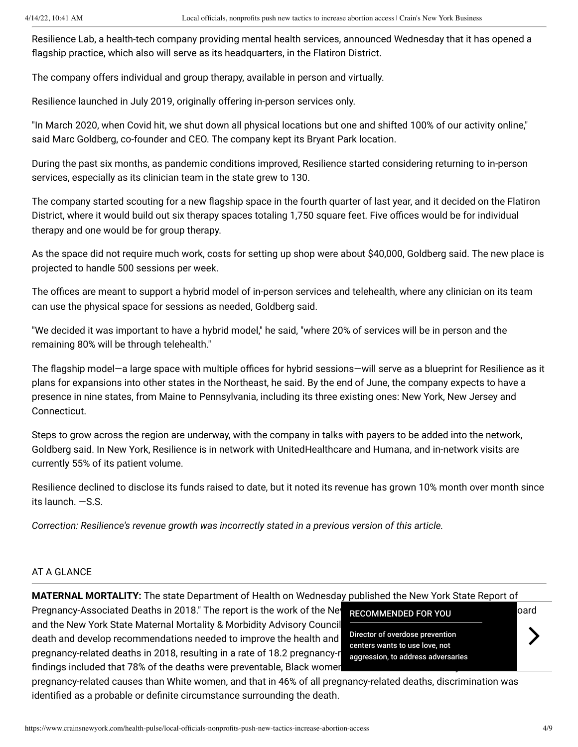Resilience Lab, a health-tech company providing mental health services, announced Wednesday that it has opened a flagship practice, which also will serve as its headquarters, in the Flatiron District.

The company offers individual and group therapy, available in person and virtually.

Resilience launched in July 2019, originally offering in-person services only.

"In March 2020, when Covid hit, we shut down all physical locations but one and shifted 100% of our activity online," said Marc Goldberg, co-founder and CEO. The company kept its Bryant Park location.

During the past six months, as pandemic conditions improved, Resilience started considering returning to in-person services, especially as its clinician team in the state grew to 130.

The company started scouting for a new flagship space in the fourth quarter of last year, and it decided on the Flatiron District, where it would build out six therapy spaces totaling 1,750 square feet. Five offices would be for individual therapy and one would be for group therapy.

As the space did not require much work, costs for setting up shop were about \$40,000, Goldberg said. The new place is projected to handle 500 sessions per week.

The offices are meant to support a hybrid model of in-person services and telehealth, where any clinician on its team can use the physical space for sessions as needed, Goldberg said.

"We decided it was important to have a hybrid model," he said, "where 20% of services will be in person and the remaining 80% will be through telehealth."

The flagship model—a large space with multiple offices for hybrid sessions—will serve as a blueprint for Resilience as it plans for expansions into other states in the Northeast, he said. By the end of June, the company expects to have a presence in nine states, from Maine to Pennsylvania, including its three existing ones: New York, New Jersey and Connecticut.

Steps to grow across the region are underway, with the company in talks with payers to be added into the network, Goldberg said. In New York, Resilience is in network with UnitedHealthcare and Humana, and in-network visits are currently 55% of its patient volume.

Resilience declined to disclose its funds raised to date, but it noted its revenue has grown 10% month over month since its launch. —S.S.

*Correction: Resilience's revenue growth was incorrectly stated in a previous version of this article.*

## AT A GLANCE

**MATERNAL MORTALITY:** The state Department of Health on Wednesday published the New York State Report of

Pregnancy-Associated Deaths in 2018." The report is the work of the New BECOMMENDED FOR VOLU and the New York State Maternal Mortality & Morbidity Advisory Council death and develop recommendations needed to improve the health and pregnancy-related deaths in 2018, resulting in a rate of 18.2 pregnancy-r findings included that 78% of the deaths were preventable, Black women

[RECOMMENDED FOR YOU](https://www.crainsnewyork.com/health-pulse/director-overdose-prevention-centers-wants-use-love-not-aggression-address-adversaries) Director of overdose prevention centers wants to use love, not aggression, to address adversaries  $\left\langle \right\rangle$ 

pregnancy-related causes than White women, and that in 46% of all pregnancy-related deaths, discrimination was identified as a probable or definite circumstance surrounding the death.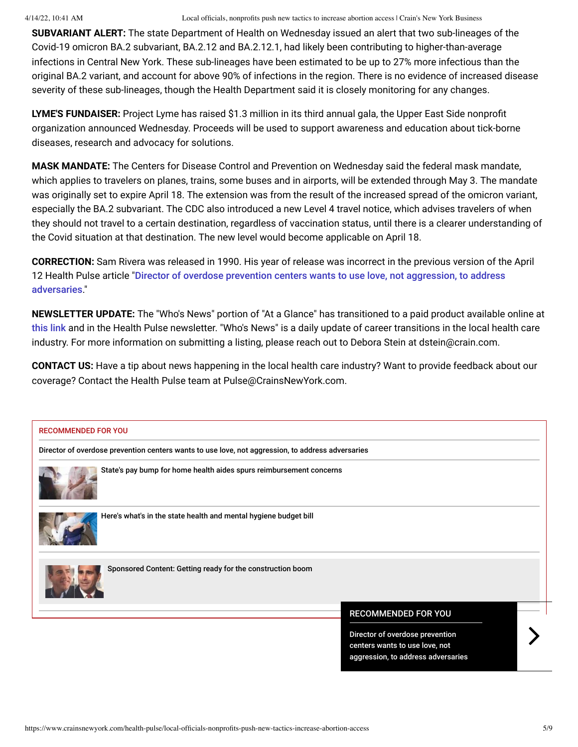**SUBVARIANT ALERT:** The state Department of Health on Wednesday issued an alert that two sub-lineages of the Covid-19 omicron BA.2 subvariant, BA.2.12 and BA.2.12.1, had likely been contributing to higher-than-average infections in Central New York. These sub-lineages have been estimated to be up to 27% more infectious than the original BA.2 variant, and account for above 90% of infections in the region. There is no evidence of increased disease severity of these sub-lineages, though the Health Department said it is closely monitoring for any changes.

**LYME'S FUNDAISER:** Project Lyme has raised \$1.3 million in its third annual gala, the Upper East Side nonprofit organization announced Wednesday. Proceeds will be used to support awareness and education about tick-borne diseases, research and advocacy for solutions.

**MASK MANDATE:** The Centers for Disease Control and Prevention on Wednesday said the federal mask mandate, which applies to travelers on planes, trains, some buses and in airports, will be extended through May 3. The mandate was originally set to expire April 18. The extension was from the result of the increased spread of the omicron variant, especially the BA.2 subvariant. The CDC also introduced a new Level 4 travel notice, which advises travelers of when they should not travel to a certain destination, regardless of vaccination status, until there is a clearer understanding of the Covid situation at that destination. The new level would become applicable on April 18.

**CORRECTION:** Sam Rivera was released in 1990. His year of release was incorrect in the previous version of the April 12 Health Pulse article "[Director of overdose prevention centers wants to use love, not aggression, to address](https://www.crainsnewyork.com/health-pulse/director-overdose-prevention-centers-wants-use-love-not-aggression-address-adversaries) adversaries."

**NEWSLETTER UPDATE:** The "Who's News" portion of "At a Glance" has transitioned to a paid product available online at [this link](https://www.crainsnewyork.com/whos-news) and in the Health Pulse newsletter. "Who's News" is a daily update of career transitions in the local health care industry. For more information on submitting a listing, please reach out to Debora Stein at dstein@crain.com.

**CONTACT US:** Have a tip about news happening in the local health care industry? Want to provide feedback about our coverage? Contact the Health Pulse team at Pulse@CrainsNewYork.com.

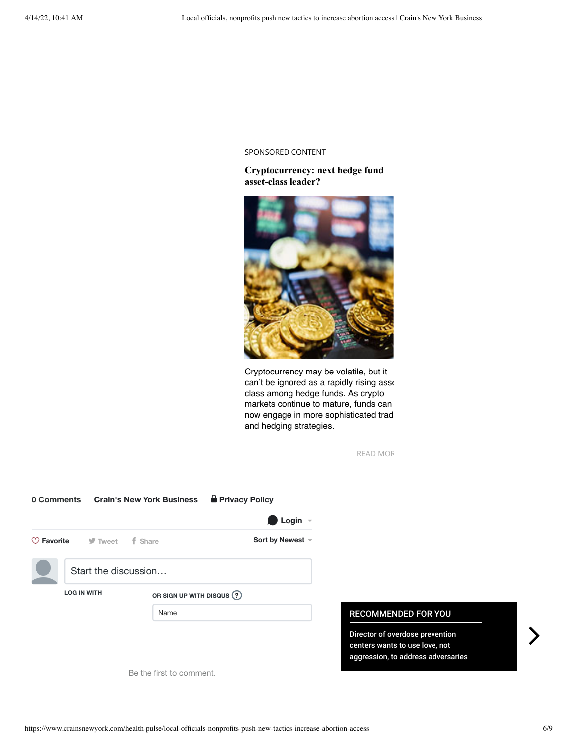#### SPONSORED CONTENT

## **[Cryptocurrency: next hedge fund](https://adclick.g.doubleclick.net/pcs/click?xai=AKAOjsuKt4jO4mH5VIEs40dEul8uITsF9riKka-adJaO-mHondtrj_QjLEg_TkLP-MwtkZ8x9jVRe9UnsDizZSr0qji7Y2DEfAgAj3K3McfKcjQ3H1nTsDnZL_CkG1NsRF5E1pEb4IYAqgRq0CbjVBVNnlpKHBm6HwtjS4lEM6VaLmNUBJN6piCBxUCnvKav6v_44yPqEopkrzSXujxaoOCyiGpZX1vXrUaYblfylUqSAz9tnfCuu4Z2n4wqOkr_2No_uZ4LRg-0RFfSClUxX0IYRNJ-5lyDHcbb3PDsqGhGq-jBzrS0ZsKXEGvkTiqEE74-aJQo12ecfSI&sig=Cg0ArKJSzLiGrZyD6CDUEAE&fbs_aeid=[gw_fbsaeid]&urlfix=1&adurl=https://www.crainsnewyork.com/custom-content-contributing-partners/grassi-cryptocurrency-next-hedge-fund-asset-class-leader-or) asset-class leader?**



Cryptocurrency may be volatile, but it can't be ignored as a rapidly rising asse class among hedge funds. As crypto markets continue to mature, funds can now engage in more sophisticated trad and hedging strategies.

[READ MOR](https://adclick.g.doubleclick.net/pcs/click?xai=AKAOjsuKt4jO4mH5VIEs40dEul8uITsF9riKka-adJaO-mHondtrj_QjLEg_TkLP-MwtkZ8x9jVRe9UnsDizZSr0qji7Y2DEfAgAj3K3McfKcjQ3H1nTsDnZL_CkG1NsRF5E1pEb4IYAqgRq0CbjVBVNnlpKHBm6HwtjS4lEM6VaLmNUBJN6piCBxUCnvKav6v_44yPqEopkrzSXujxaoOCyiGpZX1vXrUaYblfylUqSAz9tnfCuu4Z2n4wqOkr_2No_uZ4LRg-0RFfSClUxX0IYRNJ-5lyDHcbb3PDsqGhGq-jBzrS0ZsKXEGvkTiqEE74-aJQo12ecfSI&sig=Cg0ArKJSzLiGrZyD6CDUEAE&fbs_aeid=[gw_fbsaeid]&urlfix=1&adurl=https://www.crainsnewyork.com/custom-content-contributing-partners/grassi-cryptocurrency-next-hedge-fund-asset-class-leader-or)

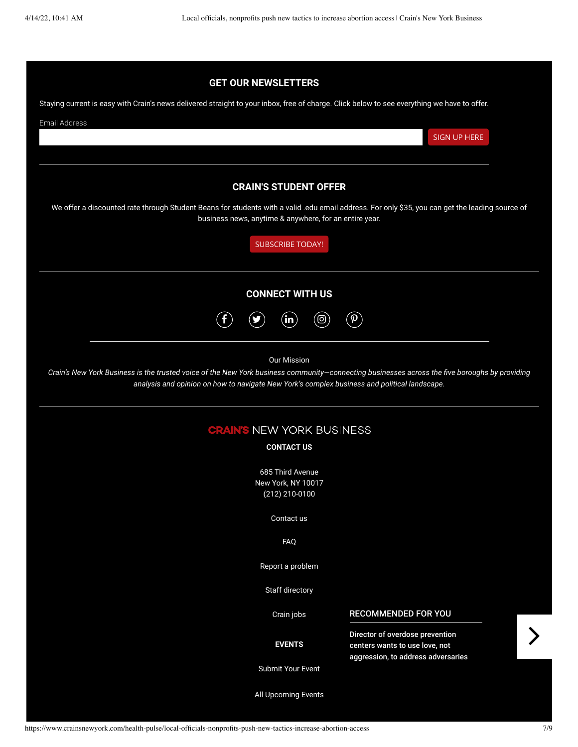| <b>GET OUR NEWSLETTERS</b>                                                                                                                                                                                                                                          |  |
|---------------------------------------------------------------------------------------------------------------------------------------------------------------------------------------------------------------------------------------------------------------------|--|
| Staying current is easy with Crain's news delivered straight to your inbox, free of charge. Click below to see everything we have to offer.                                                                                                                         |  |
| <b>Email Address</b>                                                                                                                                                                                                                                                |  |
| <b>SIGN UP HERE</b>                                                                                                                                                                                                                                                 |  |
|                                                                                                                                                                                                                                                                     |  |
| <b>CRAIN'S STUDENT OFFER</b>                                                                                                                                                                                                                                        |  |
| We offer a discounted rate through Student Beans for students with a valid .edu email address. For only \$35, you can get the leading source of<br>business news, anytime & anywhere, for an entire year.                                                           |  |
| <b>SUBSCRIBE TODAY!</b>                                                                                                                                                                                                                                             |  |
| <b>CONNECT WITH US</b>                                                                                                                                                                                                                                              |  |
| $\hat{\mathbf{\Theta}}$<br>(ම)<br>$\mathbf{\Phi}$<br>$\bf \Phi$                                                                                                                                                                                                     |  |
| <b>Our Mission</b><br>Crain's New York Business is the trusted voice of the New York business community-connecting businesses across the five boroughs by providing<br>analysis and opinion on how to navigate New York's complex business and political landscape. |  |
| <b>CRAIN'S NEW YORK BUSINESS</b>                                                                                                                                                                                                                                    |  |
| <b>CONTACT US</b>                                                                                                                                                                                                                                                   |  |
| 685 Third Avenue                                                                                                                                                                                                                                                    |  |
| New York, NY 10017<br>(212) 210-0100                                                                                                                                                                                                                                |  |
| Contact us                                                                                                                                                                                                                                                          |  |
| <b>FAQ</b>                                                                                                                                                                                                                                                          |  |
| Report a problem                                                                                                                                                                                                                                                    |  |
| Staff directory                                                                                                                                                                                                                                                     |  |
| RECOMMENDED FOR YOU<br>Crain jobs                                                                                                                                                                                                                                   |  |
| Director of overdose prevention<br><b>EVENTS</b><br>centers wants to use love, not<br>aggression, to address adversaries                                                                                                                                            |  |
| Submit Your Event                                                                                                                                                                                                                                                   |  |
| All Upcoming Events                                                                                                                                                                                                                                                 |  |